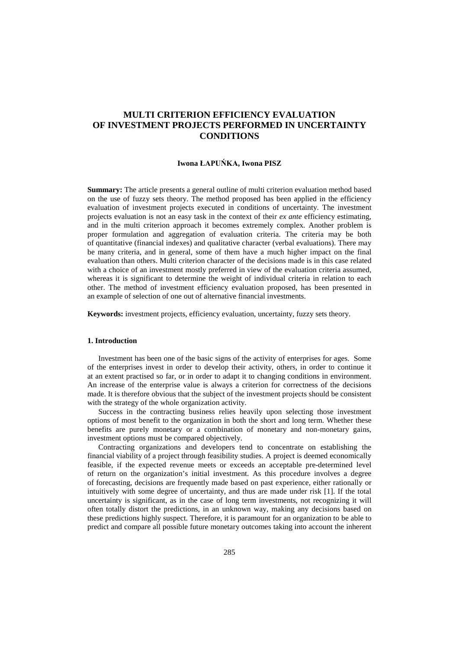# **MULTI CRITERION EFFICIENCY EVALUATION OF INVESTMENT PROJECTS PERFORMED IN UNCERTAINTY CONDITIONS**

## **Iwona ŁAPUŃKA, Iwona PISZ**

**Summary:** The article presents a general outline of multi criterion evaluation method based on the use of fuzzy sets theory. The method proposed has been applied in the efficiency evaluation of investment projects executed in conditions of uncertainty. The investment projects evaluation is not an easy task in the context of their *ex ante* efficiency estimating, and in the multi criterion approach it becomes extremely complex. Another problem is proper formulation and aggregation of evaluation criteria. The criteria may be both of quantitative (financial indexes) and qualitative character (verbal evaluations). There may be many criteria, and in general, some of them have a much higher impact on the final evaluation than others. Multi criterion character of the decisions made is in this case related with a choice of an investment mostly preferred in view of the evaluation criteria assumed, whereas it is significant to determine the weight of individual criteria in relation to each other. The method of investment efficiency evaluation proposed, has been presented in an example of selection of one out of alternative financial investments.

**Keywords:** investment projects, efficiency evaluation, uncertainty, fuzzy sets theory.

## **1. Introduction**

Investment has been one of the basic signs of the activity of enterprises for ages. Some of the enterprises invest in order to develop their activity, others, in order to continue it at an extent practised so far, or in order to adapt it to changing conditions in environment. An increase of the enterprise value is always a criterion for correctness of the decisions made. It is therefore obvious that the subject of the investment projects should be consistent with the strategy of the whole organization activity.

Success in the contracting business relies heavily upon selecting those investment options of most benefit to the organization in both the short and long term. Whether these benefits are purely monetary or a combination of monetary and non-monetary gains, investment options must be compared objectively.

Contracting organizations and developers tend to concentrate on establishing the financial viability of a project through feasibility studies. A project is deemed economically feasible, if the expected revenue meets or exceeds an acceptable pre-determined level of return on the organization's initial investment. As this procedure involves a degree of forecasting, decisions are frequently made based on past experience, either rationally or intuitively with some degree of uncertainty, and thus are made under risk [1]. If the total uncertainty is significant, as in the case of long term investments, not recognizing it will often totally distort the predictions, in an unknown way, making any decisions based on these predictions highly suspect. Therefore, it is paramount for an organization to be able to predict and compare all possible future monetary outcomes taking into account the inherent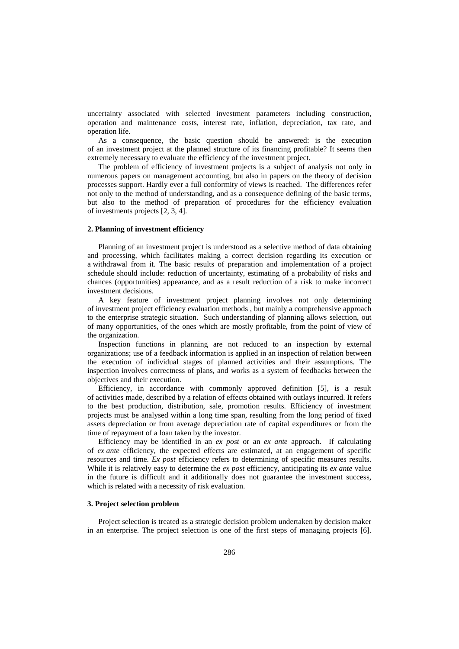uncertainty associated with selected investment parameters including construction, operation and maintenance costs, interest rate, inflation, depreciation, tax rate, and operation life.

As a consequence, the basic question should be answered: is the execution of an investment project at the planned structure of its financing profitable? It seems then extremely necessary to evaluate the efficiency of the investment project.

The problem of efficiency of investment projects is a subject of analysis not only in numerous papers on management accounting, but also in papers on the theory of decision processes support. Hardly ever a full conformity of views is reached. The differences refer not only to the method of understanding, and as a consequence defining of the basic terms, but also to the method of preparation of procedures for the efficiency evaluation of investments projects [2, 3, 4].

#### **2. Planning of investment efficiency**

Planning of an investment project is understood as a selective method of data obtaining and processing, which facilitates making a correct decision regarding its execution or a withdrawal from it. The basic results of preparation and implementation of a project schedule should include: reduction of uncertainty, estimating of a probability of risks and chances (opportunities) appearance, and as a result reduction of a risk to make incorrect investment decisions.

A key feature of investment project planning involves not only determining of investment project efficiency evaluation methods , but mainly a comprehensive approach to the enterprise strategic situation. Such understanding of planning allows selection, out of many opportunities, of the ones which are mostly profitable, from the point of view of the organization.

Inspection functions in planning are not reduced to an inspection by external organizations; use of a feedback information is applied in an inspection of relation between the execution of individual stages of planned activities and their assumptions. The inspection involves correctness of plans, and works as a system of feedbacks between the objectives and their execution.

Efficiency, in accordance with commonly approved definition [5], is a result of activities made, described by a relation of effects obtained with outlays incurred. It refers to the best production, distribution, sale, promotion results. Efficiency of investment projects must be analysed within a long time span, resulting from the long period of fixed assets depreciation or from average depreciation rate of capital expenditures or from the time of repayment of a loan taken by the investor.

Efficiency may be identified in an *ex post* or an *ex ante* approach. If calculating of *ex ante* efficiency, the expected effects are estimated, at an engagement of specific resources and time. *Ex post* efficiency refers to determining of specific measures results. While it is relatively easy to determine the *ex post* efficiency, anticipating its *ex ante* value in the future is difficult and it additionally does not guarantee the investment success, which is related with a necessity of risk evaluation.

### **3. Project selection problem**

Project selection is treated as a strategic decision problem undertaken by decision maker in an enterprise. The project selection is one of the first steps of managing projects [6].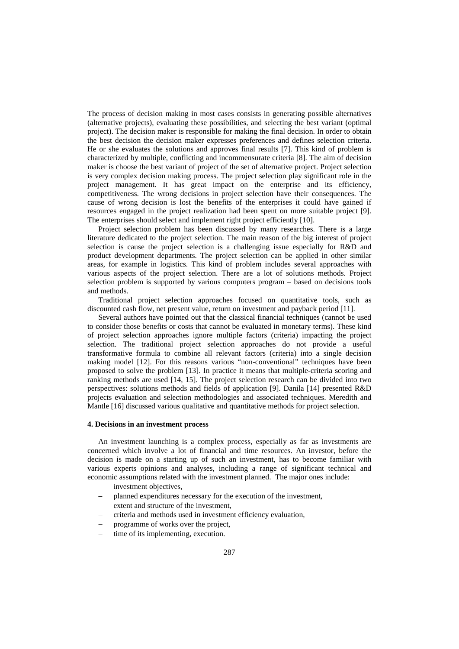The process of decision making in most cases consists in generating possible alternatives (alternative projects), evaluating these possibilities, and selecting the best variant (optimal project). The decision maker is responsible for making the final decision. In order to obtain the best decision the decision maker expresses preferences and defines selection criteria. He or she evaluates the solutions and approves final results [7]. This kind of problem is characterized by multiple, conflicting and incommensurate criteria [8]. The aim of decision maker is choose the best variant of project of the set of alternative project. Project selection is very complex decision making process. The project selection play significant role in the project management. It has great impact on the enterprise and its efficiency, competitiveness. The wrong decisions in project selection have their consequences. The cause of wrong decision is lost the benefits of the enterprises it could have gained if resources engaged in the project realization had been spent on more suitable project [9]. The enterprises should select and implement right project efficiently [10].

Project selection problem has been discussed by many researches. There is a large literature dedicated to the project selection. The main reason of the big interest of project selection is cause the project selection is a challenging issue especially for R&D and product development departments. The project selection can be applied in other similar areas, for example in logistics. This kind of problem includes several approaches with various aspects of the project selection. There are a lot of solutions methods. Project selection problem is supported by various computers program – based on decisions tools and methods.

Traditional project selection approaches focused on quantitative tools, such as discounted cash flow, net present value, return on investment and payback period [11].

Several authors have pointed out that the classical financial techniques (cannot be used to consider those benefits or costs that cannot be evaluated in monetary terms). These kind of project selection approaches ignore multiple factors (criteria) impacting the project selection. The traditional project selection approaches do not provide a useful transformative formula to combine all relevant factors (criteria) into a single decision making model [12]. For this reasons various "non-conventional" techniques have been proposed to solve the problem [13]. In practice it means that multiple-criteria scoring and ranking methods are used [14, 15]. The project selection research can be divided into two perspectives: solutions methods and fields of application [9]. Danila [14] presented R&D projects evaluation and selection methodologies and associated techniques. Meredith and Mantle [16] discussed various qualitative and quantitative methods for project selection.

#### **4. Decisions in an investment process**

An investment launching is a complex process, especially as far as investments are concerned which involve a lot of financial and time resources. An investor, before the decision is made on a starting up of such an investment, has to become familiar with various experts opinions and analyses, including a range of significant technical and economic assumptions related with the investment planned. The major ones include:

- − investment objectives,
- planned expenditures necessary for the execution of the investment,
- extent and structure of the investment,
- − criteria and methods used in investment efficiency evaluation,
- programme of works over the project,
- time of its implementing, execution.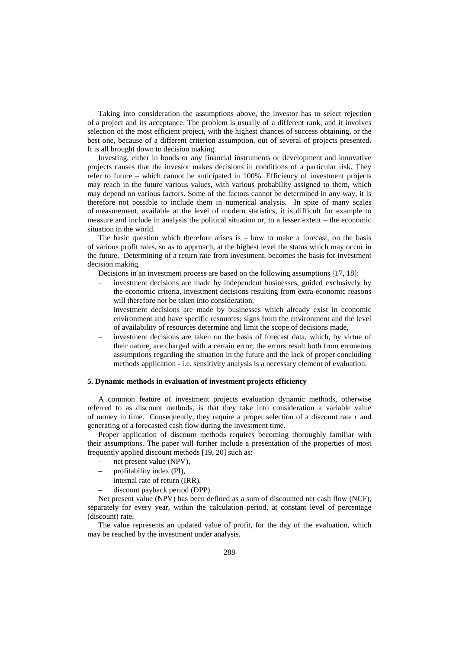Taking into consideration the assumptions above, the investor has to select rejection of a project and its acceptance. The problem is usually of a different rank, and it involves selection of the most efficient project, with the highest chances of success obtaining, or the best one, because of a different criterion assumption, out of several of projects presented. It is all brought down to decision making.

Investing, either in bonds or any financial instruments or development and innovative projects causes that the investor makes decisions in conditions of a particular risk. They refer to future – which cannot be anticipated in 100%. Efficiency of investment projects may reach in the future various values, with various probability assigned to them, which may depend on various factors. Some of the factors cannot be determined in any way, it is therefore not possible to include them in numerical analysis. In spite of many scales of measurement, available at the level of modern statistics, it is difficult for example to measure and include in analysis the political situation or, to a lesser extent – the economic situation in the world.

The basic question which therefore arises is  $-$  how to make a forecast, on the basis of various profit rates, so as to approach, at the highest level the status which may occur in the future. Determining of a return rate from investment, becomes the basis for investment decision making.

Decisions in an investment process are based on the following assumptions [17, 18]:

- investment decisions are made by independent businesses, guided exclusively by the economic criteria, investment decisions resulting from extra-economic reasons will therefore not be taken into consideration.
- investment decisions are made by businesses which already exist in economic environment and have specific resources; signs from the environment and the level of availability of resources determine and limit the scope of decisions made,
- investment decisions are taken on the basis of forecast data, which, by virtue of their nature, are charged with a certain error; the errors result both from erroneous assumptions regarding the situation in the future and the lack of proper concluding methods application - i.e. sensitivity analysis is a necessary element of evaluation.

#### **5. Dynamic methods in evaluation of investment projects efficiency**

A common feature of investment projects evaluation dynamic methods, otherwise referred to as discount methods, is that they take into consideration a variable value of money in time. Consequently, they require a proper selection of a discount rate *r* and generating of a forecasted cash flow during the investment time.

Proper application of discount methods requires becoming thoroughly familiar with their assumptions. The paper will further include a presentation of the properties of most frequently applied discount methods [19, 20] such as:

- net present value (NPV),
- − profitability index (PI),
- internal rate of return (IRR),
- discount payback period (DPP).

Net present value (NPV) has been defined as a sum of discounted net cash flow (NCF), separately for every year, within the calculation period, at constant level of percentage (discount) rate.

The value represents an updated value of profit, for the day of the evaluation, which may be reached by the investment under analysis.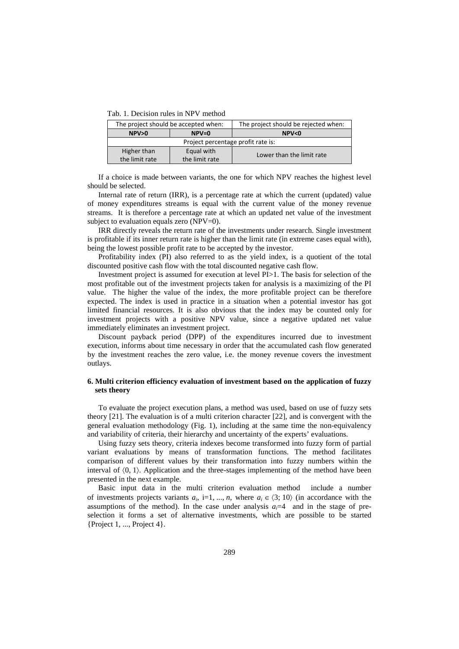Tab. 1. Decision rules in NPV method

| The project should be accepted when: |                | The project should be rejected when: |  |  |
|--------------------------------------|----------------|--------------------------------------|--|--|
| NPV>0<br>$NPV=0$                     |                | NPV < 0                              |  |  |
| Project percentage profit rate is:   |                |                                      |  |  |
| Higher than                          | Equal with     | Lower than the limit rate            |  |  |
| the limit rate                       | the limit rate |                                      |  |  |

If a choice is made between variants, the one for which NPV reaches the highest level should be selected.

Internal rate of return (IRR), is a percentage rate at which the current (updated) value of money expenditures streams is equal with the current value of the money revenue streams. It is therefore a percentage rate at which an updated net value of the investment subject to evaluation equals zero (NPV=0).

IRR directly reveals the return rate of the investments under research. Single investment is profitable if its inner return rate is higher than the limit rate (in extreme cases equal with), being the lowest possible profit rate to be accepted by the investor.

Profitability index (PI) also referred to as the yield index, is a quotient of the total discounted positive cash flow with the total discounted negative cash flow.

Investment project is assumed for execution at level PI>1. The basis for selection of the most profitable out of the investment projects taken for analysis is a maximizing of the PI value. The higher the value of the index, the more profitable project can be therefore expected. The index is used in practice in a situation when a potential investor has got limited financial resources. It is also obvious that the index may be counted only for investment projects with a positive NPV value, since a negative updated net value immediately eliminates an investment project.

Discount payback period (DPP) of the expenditures incurred due to investment execution, informs about time necessary in order that the accumulated cash flow generated by the investment reaches the zero value, i.e. the money revenue covers the investment outlays.

## **6. Multi criterion efficiency evaluation of investment based on the application of fuzzy sets theory**

To evaluate the project execution plans, a method was used, based on use of fuzzy sets theory [21]. The evaluation is of a multi criterion character [22], and is convergent with the general evaluation methodology (Fig. 1), including at the same time the non-equivalency and variability of criteria, their hierarchy and uncertainty of the experts' evaluations.

Using fuzzy sets theory, criteria indexes become transformed into fuzzy form of partial variant evaluations by means of transformation functions. The method facilitates comparison of different values by their transformation into fuzzy numbers within the interval of  $(0, 1)$ . Application and the three-stages implementing of the method have been presented in the next example.

Basic input data in the multi criterion evaluation method include a number of investments projects variants  $a_i$ , i=1, ..., *n*, where  $a_i \in \langle 3; 10 \rangle$  (in accordance with the assumptions of the method). In the case under analysis  $a_i=4$  and in the stage of preselection it forms a set of alternative investments, which are possible to be started {Project 1, ..., Project 4}.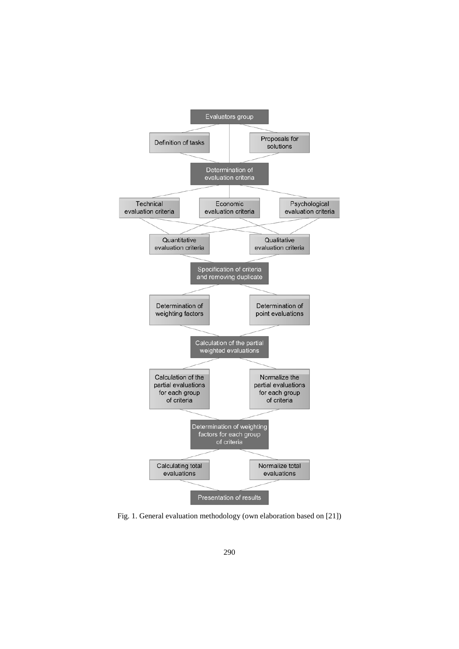

Fig. 1. General evaluation methodology (own elaboration based on [21])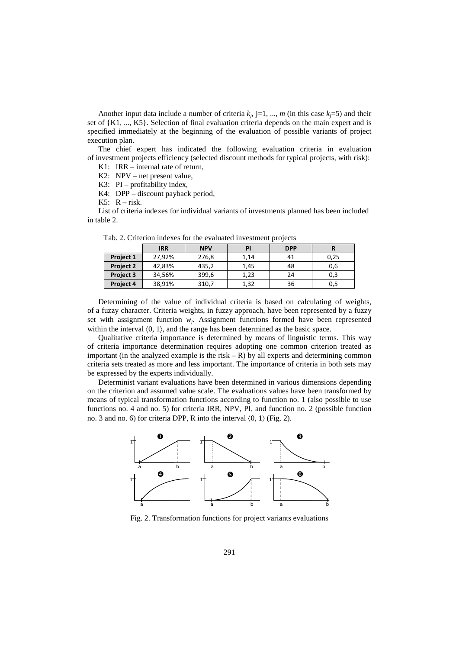Another input data include a number of criteria  $k_j$ , j=1, ..., *m* (in this case  $k_j$ =5) and their set of {K1, ..., K5}. Selection of final evaluation criteria depends on the main expert and is specified immediately at the beginning of the evaluation of possible variants of project execution plan.

The chief expert has indicated the following evaluation criteria in evaluation of investment projects efficiency (selected discount methods for typical projects, with risk):

K1: IRR – internal rate of return,

K2: NPV – net present value,

K3: PI – profitability index,

K4: DPP – discount payback period,

K5:  $R - risk$ .

List of criteria indexes for individual variants of investments planned has been included in table 2.

|                  | <b>IRR</b> | <b>NPV</b> | PI   | <b>DPP</b> |      |
|------------------|------------|------------|------|------------|------|
| Project 1        | 27,92%     | 276,8      | 1,14 | 41         | 0,25 |
| <b>Project 2</b> | 42,83%     | 435,2      | 1,45 | 48         | 0.6  |
| <b>Project 3</b> | 34,56%     | 399,6      | 1,23 | 24         | 0,3  |
| Project 4        | 38,91%     | 310,7      | 1,32 | 36         | 0,5  |

Tab. 2. Criterion indexes for the evaluated investment projects

Determining of the value of individual criteria is based on calculating of weights, of a fuzzy character. Criteria weights, in fuzzy approach, have been represented by a fuzzy set with assignment function  $w_i$ . Assignment functions formed have been represented within the interval  $(0, 1)$ , and the range has been determined as the basic space.

Qualitative criteria importance is determined by means of linguistic terms. This way of criteria importance determination requires adopting one common criterion treated as important (in the analyzed example is the risk  $- R$ ) by all experts and determining common criteria sets treated as more and less important. The importance of criteria in both sets may be expressed by the experts individually.

Determinist variant evaluations have been determined in various dimensions depending on the criterion and assumed value scale. The evaluations values have been transformed by means of typical transformation functions according to function no. 1 (also possible to use functions no. 4 and no. 5) for criteria IRR, NPV, PI, and function no. 2 (possible function no. 3 and no. 6) for criteria DPP, R into the interval  $\langle 0, 1 \rangle$  (Fig. 2).



Fig. 2. Transformation functions for project variants evaluations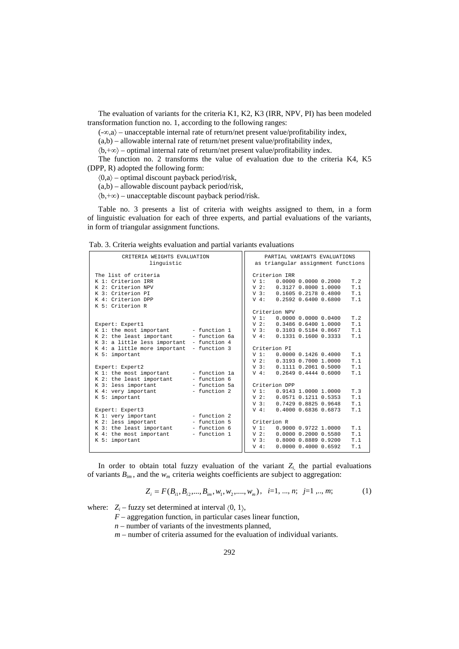The evaluation of variants for the criteria K1, K2, K3 (IRR, NPV, PI) has been modeled transformation function no. 1, according to the following ranges:

 $(-\infty, a)$  – unacceptable internal rate of return/net present value/profitability index,

 $(a,b)$  – allowable internal rate of return/net present value/profitability index,

〈b,+∞〉 – optimal internal rate of return/net present value/profitability index.

The function no. 2 transforms the value of evaluation due to the criteria K4, K5 (DPP, R) adopted the following form:

 $\langle 0, a \rangle$  – optimal discount payback period/risk,

(a,b) – allowable discount payback period/risk,

〈b,+∞) – unacceptable discount payback period/risk.

Table no. 3 presents a list of criteria with weights assigned to them, in a form of linguistic evaluation for each of three experts, and partial evaluations of the variants, in form of triangular assignment functions.

Tab. 3. Criteria weights evaluation and partial variants evaluations

| as triangular assignment functions                    |
|-------------------------------------------------------|
|                                                       |
|                                                       |
| Criterion TRR                                         |
| V <sub>1</sub> :<br>0.000000.0000000000<br>T.2        |
| T.1<br>$V$ 2:<br>0.31270.80001.0000                   |
| V <sub>3</sub> :<br>0.1605 0.2178 0.4800<br>T.1       |
| $V_4$ :<br>$0.2592$ $0.6400$ $0.6800$<br>T.1          |
|                                                       |
| Criterion NPV                                         |
| V <sub>1</sub> :<br>T.2<br>0.000000.000000000400      |
| $V$ 2:<br>T.1<br>0.3486 0.6400 1.0000                 |
| T.1<br>V <sub>3</sub> :<br>0.3103 0.5184 0.8667       |
| 0.1331 0.1600 0.3333<br>$V_4$ :<br>T.1                |
|                                                       |
| Criterion PT                                          |
| V <sub>1</sub> :<br>0.000000.14260.4000<br>T.1        |
| $V$ 2:<br>T.1<br>0.3193 0.7000 1.0000                 |
| V <sub>3</sub> :<br>T.1<br>$0.1111$ $0.2061$ $0.5000$ |
| 0.2649 0.4444 0.6000<br>T.1<br>$V$ 4:                 |
|                                                       |
| Criterion DPP                                         |
| T.3<br>V <sub>1</sub> :<br>$0.9143$ 1.0000 1.0000     |
| T.1<br>$V$ 2:<br>$0.0571$ $0.1211$ $0.5353$           |
| V <sub>3</sub> :<br>T.1<br>0.7429 0.8825 0.9648       |
| $V_4$ :<br>0.4000 0.6836 0.6873<br>T.1                |
|                                                       |
| Criterion R                                           |
| V <sub>1</sub> :<br>0.9000 0.9722 1.0000<br>T.1       |
| T.1<br>$V$ 2:<br>$0.0000$ $0.2000$ $0.5580$           |
| V <sub>3</sub> :<br>T.1<br>0.8000 0.8889 0.9200       |
| 0.000000.400000.6592<br>$V_4$ :<br>T.1                |
|                                                       |

In order to obtain total fuzzy evaluation of the variant  $Z_i$ , the partial evaluations of variants  $B_{im}$ , and the  $w_m$  criteria weights coefficients are subject to aggregation:

$$
Z_i = F(B_{i1}, B_{i2},..., B_{im}, w_1, w_2, ..., w_m), \quad i=1, ..., n; \quad j=1, ..., m; \tag{1}
$$

where:  $Z_i$  – fuzzy set determined at interval  $(0, 1)$ ,

*F* – aggregation function, in particular cases linear function,

- *n –* number of variants of the investments planned,
- *m –* number of criteria assumed for the evaluation of individual variants.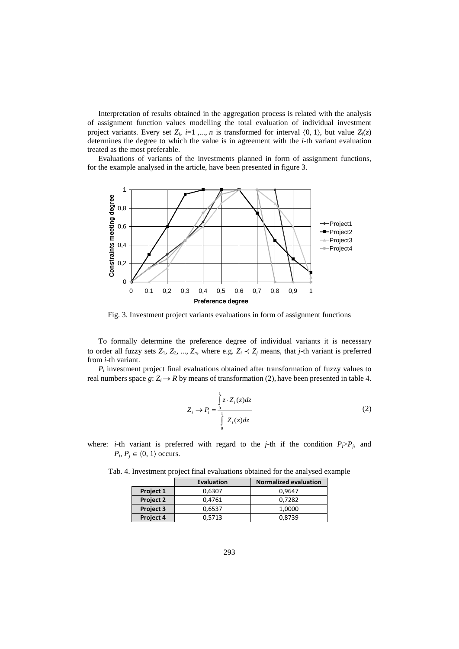Interpretation of results obtained in the aggregation process is related with the analysis of assignment function values modelling the total evaluation of individual investment project variants. Every set  $Z_i$ ,  $i=1, ..., n$  is transformed for interval  $\langle 0, 1 \rangle$ , but value  $Z_i(z)$ determines the degree to which the value is in agreement with the *i*-th variant evaluation treated as the most preferable.

Evaluations of variants of the investments planned in form of assignment functions, for the example analysed in the article, have been presented in figure 3.



Fig. 3. Investment project variants evaluations in form of assignment functions

To formally determine the preference degree of individual variants it is necessary to order all fuzzy sets  $Z_1, Z_2, ..., Z_n$ , where e.g.  $Z_i \prec Z_j$  means, that *j*-th variant is preferred from *i*-th variant.

 $P_i$  investment project final evaluations obtained after transformation of fuzzy values to real numbers space  $g: Z_i \to R$  by means of transformation (2), have been presented in table 4.

$$
Z_i \to P_i = \frac{\int_0^1 z \cdot Z_i(z) dz}{\int_0^1 Z_i(z) dz}
$$
 (2)

where: *i*-th variant is preferred with regard to the *j*-th if the condition  $P_i > P_j$ , and  $P_i$ ,  $P_j \in \langle 0, 1 \rangle$  occurs.

|           | <b>Evaluation</b> | <b>Normalized evaluation</b> |
|-----------|-------------------|------------------------------|
| Project 1 | 0,6307            | 0.9647                       |
| Project 2 | 0.4761            | 0.7282                       |
| Project 3 | 0.6537            | 1.0000                       |
| Project 4 | 0.5713            | 0.8739                       |

Tab. 4. Investment project final evaluations obtained for the analysed example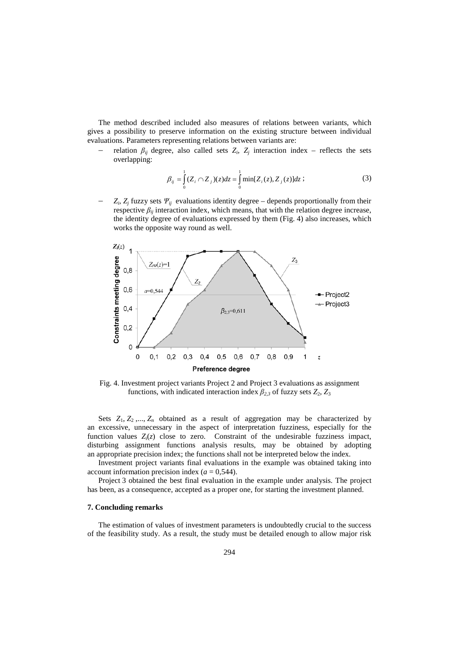The method described included also measures of relations between variants, which gives a possibility to preserve information on the existing structure between individual evaluations. Parameters representing relations between variants are:

relation  $\beta_{ij}$  degree, also called sets  $Z_i$ ,  $Z_j$  interaction index – reflects the sets overlapping:

$$
\beta_{ij} = \int_{0}^{1} (Z_i \cap Z_j)(z) dz = \int_{0}^{1} \min[Z_i(z), Z_j(z)] dz ;
$$
\n(3)

 $Z_i$ ,  $Z_j$  fuzzy sets  $\Psi_{ij}$  evaluations identity degree – depends proportionally from their respective  $\beta_{ij}$  interaction index, which means, that with the relation degree increase, the identity degree of evaluations expressed by them (Fig. 4) also increases, which works the opposite way round as well.



Fig. 4. Investment project variants Project 2 and Project 3 evaluations as assignment functions, with indicated interaction index  $\beta_{2,3}$  of fuzzy sets  $Z_2$ ,  $Z_3$ 

Sets  $Z_1, Z_2, ..., Z_n$  obtained as a result of aggregation may be characterized by an excessive, unnecessary in the aspect of interpretation fuzziness, especially for the function values  $Z_i(z)$  close to zero. Constraint of the undesirable fuzziness impact, disturbing assignment functions analysis results, may be obtained by adopting an appropriate precision index; the functions shall not be interpreted below the index.

Investment project variants final evaluations in the example was obtained taking into account information precision index  $(a = 0.544)$ .

Project 3 obtained the best final evaluation in the example under analysis. The project has been, as a consequence, accepted as a proper one, for starting the investment planned.

#### **7. Concluding remarks**

The estimation of values of investment parameters is undoubtedly crucial to the success of the feasibility study. As a result, the study must be detailed enough to allow major risk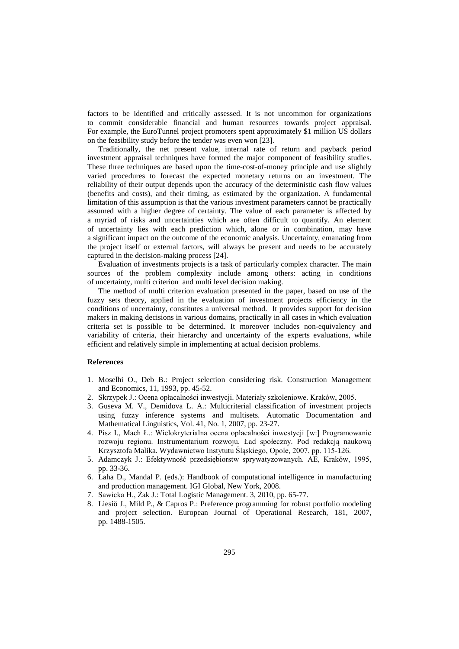factors to be identified and critically assessed. It is not uncommon for organizations to commit considerable financial and human resources towards project appraisal. For example, the EuroTunnel project promoters spent approximately \$1 million US dollars on the feasibility study before the tender was even won [23].

Traditionally, the net present value, internal rate of return and payback period investment appraisal techniques have formed the major component of feasibility studies. These three techniques are based upon the time-cost-of-money principle and use slightly varied procedures to forecast the expected monetary returns on an investment. The reliability of their output depends upon the accuracy of the deterministic cash flow values (benefits and costs), and their timing, as estimated by the organization. A fundamental limitation of this assumption is that the various investment parameters cannot be practically assumed with a higher degree of certainty. The value of each parameter is affected by a myriad of risks and uncertainties which are often difficult to quantify. An element of uncertainty lies with each prediction which, alone or in combination, may have a significant impact on the outcome of the economic analysis. Uncertainty, emanating from the project itself or external factors, will always be present and needs to be accurately captured in the decision-making process [24].

Evaluation of investments projects is a task of particularly complex character. The main sources of the problem complexity include among others: acting in conditions of uncertainty, multi criterion and multi level decision making.

The method of multi criterion evaluation presented in the paper, based on use of the fuzzy sets theory, applied in the evaluation of investment projects efficiency in the conditions of uncertainty, constitutes a universal method. It provides support for decision makers in making decisions in various domains, practically in all cases in which evaluation criteria set is possible to be determined. It moreover includes non-equivalency and variability of criteria, their hierarchy and uncertainty of the experts evaluations, while efficient and relatively simple in implementing at actual decision problems.

## **References**

- 1. Moselhi O., Deb B.: Project selection considering risk. Construction Management and Economics, 11, 1993, pp. 45-52.
- 2. Skrzypek J.: Ocena opłacalności inwestycji. Materiały szkoleniowe. Kraków, 2005.
- 3. Guseva M. V., Demidova L. A.: Multicriterial classification of investment projects using fuzzy inference systems and multisets. Automatic Documentation and Mathematical Linguistics, Vol. 41, No. 1, 2007, pp. 23-27.
- 4. Pisz I., Mach Ł.: Wielokryterialna ocena opłacalności inwestycji [w:] Programowanie rozwoju regionu. Instrumentarium rozwoju. Ład społeczny. Pod redakcją naukową Krzysztofa Malika. Wydawnictwo Instytutu Śląskiego, Opole, 2007, pp. 115-126.
- 5. Adamczyk J.: Efektywność przedsiębiorstw sprywatyzowanych. AE, Kraków, 1995, pp. 33-36.
- 6. Laha D., Mandal P. (eds.): Handbook of computational intelligence in manufacturing and production management. IGI Global, New York, 2008.
- 7. Sawicka H., Żak J.: Total Logistic Management. 3, 2010, pp. 65-77.
- 8. Liesiö J., Mild P., & Capros P.: Preference programming for robust portfolio modeling and project selection. European Journal of Operational Research, 181, 2007, pp. 1488-1505.